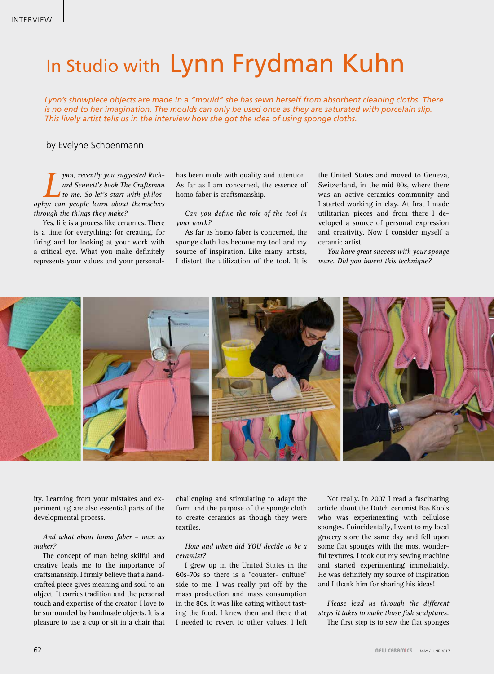# In Studio with Lynn Frydman Kuhn

*Lynn's showpiece objects are made in a "mould" she has sewn herself from absorbent cleaning cloths. There is no end to her imagination. The moulds can only be used once as they are saturated with porcelain slip. This lively artist tells us in the interview how she got the idea of using sponge cloths.* 

### by Evelyne Schoenmann

*Lynn, recently you suggested Rich-<br>
ard Sennett's book The Craftsman<br>
to me. So let's start with philos-*<br>
We: can neonle learn about themselves *ard Sennett's book The Craftsman to me. So let's start with philosophy: can people learn about themselves through the things they make?*

Yes, life is a process like ceramics. There is a time for everything: for creating, for firing and for looking at your work with a critical eye. What you make definitely represents your values and your personalhas been made with quality and attention. As far as I am concerned, the essence of homo faber is craftsmanship.

*Can you define the role of the tool in your work?*

As far as homo faber is concerned, the sponge cloth has become my tool and my source of inspiration. Like many artists, I distort the utilization of the tool. It is

the United States and moved to Geneva, Switzerland, in the mid 80s, where there was an active ceramics community and I started working in clay. At first I made utilitarian pieces and from there I developed a source of personal expression and creativity. Now I consider myself a ceramic artist.

*You have great success with your sponge ware. Did you invent this technique?*



ity. Learning from your mistakes and experimenting are also essential parts of the developmental process.

#### *And what about homo faber – man as maker?*

The concept of man being skilful and creative leads me to the importance of craftsmanship. I firmly believe that a handcrafted piece gives meaning and soul to an object. It carries tradition and the personal touch and expertise of the creator. I love to be surrounded by handmade objects. It is a pleasure to use a cup or sit in a chair that

challenging and stimulating to adapt the form and the purpose of the sponge cloth to create ceramics as though they were textiles.

#### *How and when did YOU decide to be a ceramist?*

I grew up in the United States in the 60s-70s so there is a "counter- culture" side to me. I was really put off by the mass production and mass consumption in the 80s. It was like eating without tasting the food. I knew then and there that I needed to revert to other values. I left

Not really. In 2007 I read a fascinating article about the Dutch ceramist Bas Kools who was experimenting with cellulose sponges. Coincidentally, I went to my local grocery store the same day and fell upon some flat sponges with the most wonderful textures. I took out my sewing machine and started experimenting immediately. He was definitely my source of inspiration and I thank him for sharing his ideas!

*Please lead us through the different steps it takes to make those fish sculptures.* The first step is to sew the flat sponges